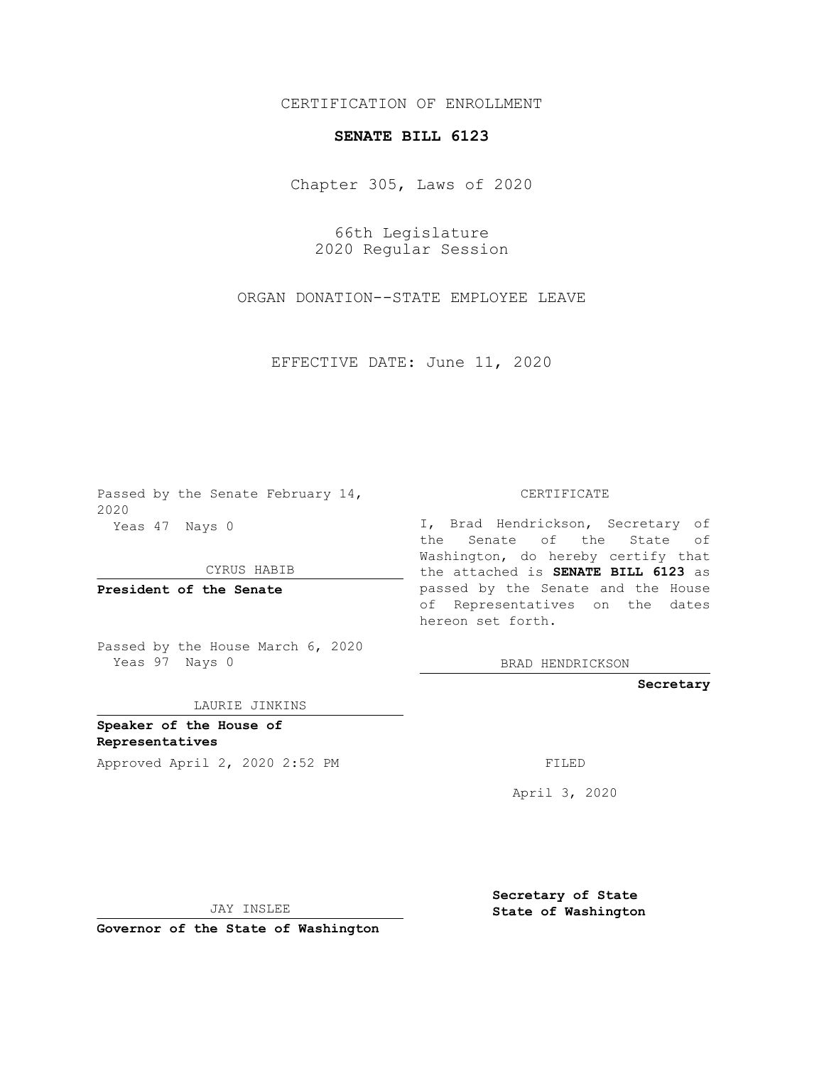## CERTIFICATION OF ENROLLMENT

## **SENATE BILL 6123**

Chapter 305, Laws of 2020

66th Legislature 2020 Regular Session

ORGAN DONATION--STATE EMPLOYEE LEAVE

EFFECTIVE DATE: June 11, 2020

Passed by the Senate February 14, 2020 Yeas 47 Nays 0

CYRUS HABIB

**President of the Senate**

Passed by the House March 6, 2020 Yeas 97 Nays 0

LAURIE JINKINS

**Speaker of the House of Representatives**

Approved April 2, 2020 2:52 PM FILED

CERTIFICATE

I, Brad Hendrickson, Secretary of the Senate of the State of Washington, do hereby certify that the attached is **SENATE BILL 6123** as passed by the Senate and the House of Representatives on the dates hereon set forth.

BRAD HENDRICKSON

**Secretary**

April 3, 2020

JAY INSLEE

**Governor of the State of Washington**

**Secretary of State State of Washington**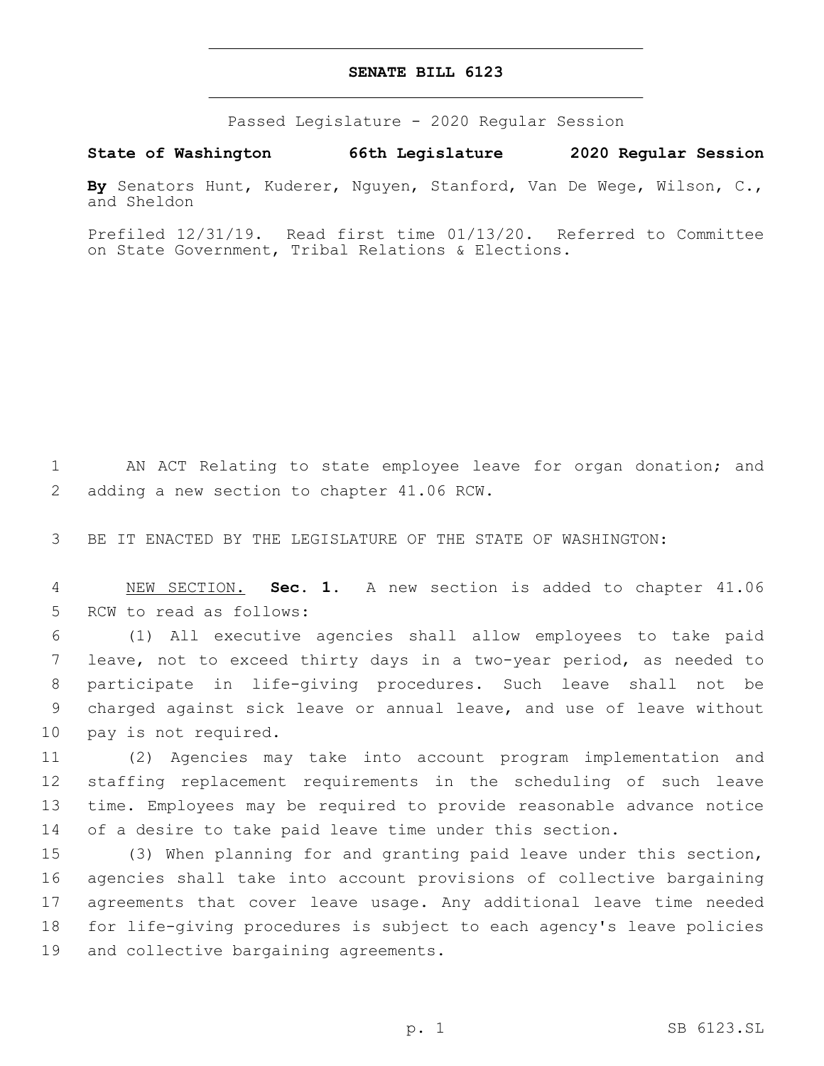## **SENATE BILL 6123**

Passed Legislature - 2020 Regular Session

**State of Washington 66th Legislature 2020 Regular Session**

**By** Senators Hunt, Kuderer, Nguyen, Stanford, Van De Wege, Wilson, C., and Sheldon

Prefiled 12/31/19. Read first time 01/13/20. Referred to Committee on State Government, Tribal Relations & Elections.

1 AN ACT Relating to state employee leave for organ donation; and 2 adding a new section to chapter 41.06 RCW.

3 BE IT ENACTED BY THE LEGISLATURE OF THE STATE OF WASHINGTON:

4 NEW SECTION. **Sec. 1.** A new section is added to chapter 41.06 5 RCW to read as follows:

 (1) All executive agencies shall allow employees to take paid leave, not to exceed thirty days in a two-year period, as needed to participate in life-giving procedures. Such leave shall not be charged against sick leave or annual leave, and use of leave without 10 pay is not required.

 (2) Agencies may take into account program implementation and staffing replacement requirements in the scheduling of such leave time. Employees may be required to provide reasonable advance notice of a desire to take paid leave time under this section.

 (3) When planning for and granting paid leave under this section, agencies shall take into account provisions of collective bargaining agreements that cover leave usage. Any additional leave time needed for life-giving procedures is subject to each agency's leave policies 19 and collective bargaining agreements.